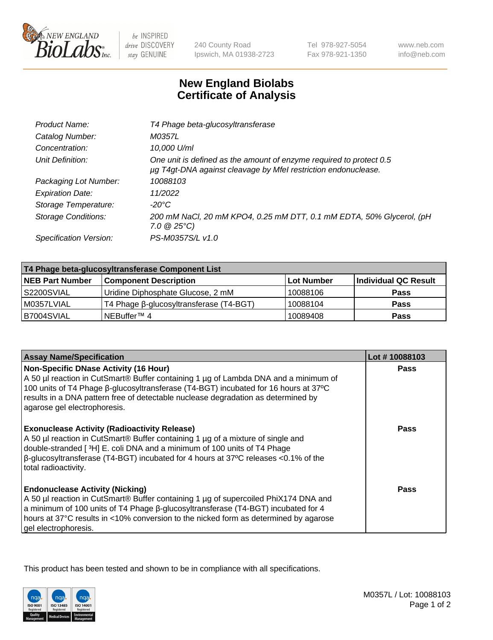

 $be$  INSPIRED drive DISCOVERY stay GENUINE

240 County Road Ipswich, MA 01938-2723 Tel 978-927-5054 Fax 978-921-1350 www.neb.com info@neb.com

## **New England Biolabs Certificate of Analysis**

| Product Name:              | T4 Phage beta-glucosyltransferase                                                                                                     |
|----------------------------|---------------------------------------------------------------------------------------------------------------------------------------|
| Catalog Number:            | M0357L                                                                                                                                |
| Concentration:             | 10,000 U/ml                                                                                                                           |
| Unit Definition:           | One unit is defined as the amount of enzyme required to protect 0.5<br>µg T4gt-DNA against cleavage by Mfel restriction endonuclease. |
| Packaging Lot Number:      | 10088103                                                                                                                              |
| <b>Expiration Date:</b>    | 11/2022                                                                                                                               |
| Storage Temperature:       | -20°C                                                                                                                                 |
| <b>Storage Conditions:</b> | 200 mM NaCl, 20 mM KPO4, 0.25 mM DTT, 0.1 mM EDTA, 50% Glycerol, (pH<br>$7.0 \ @ 25^{\circ}C$                                         |
| Specification Version:     | PS-M0357S/L v1.0                                                                                                                      |
|                            |                                                                                                                                       |

| T4 Phage beta-glucosyltransferase Component List |                                         |            |                      |  |
|--------------------------------------------------|-----------------------------------------|------------|----------------------|--|
| <b>NEB Part Number</b>                           | <b>Component Description</b>            | Lot Number | Individual QC Result |  |
| S2200SVIAL                                       | Uridine Diphosphate Glucose, 2 mM       | 10088106   | <b>Pass</b>          |  |
| M0357LVIAL                                       | T4 Phage β-glucosyltransferase (T4-BGT) | 10088104   | <b>Pass</b>          |  |
| B7004SVIAL                                       | NEBuffer <sup>™</sup> 4                 | 10089408   | Pass                 |  |

| <b>Assay Name/Specification</b>                                                                                                                                                                                                                                                                                                                     | Lot #10088103 |
|-----------------------------------------------------------------------------------------------------------------------------------------------------------------------------------------------------------------------------------------------------------------------------------------------------------------------------------------------------|---------------|
| <b>Non-Specific DNase Activity (16 Hour)</b><br>A 50 µl reaction in CutSmart® Buffer containing 1 µg of Lambda DNA and a minimum of<br>100 units of T4 Phage β-glucosyltransferase (T4-BGT) incubated for 16 hours at 37°C<br>results in a DNA pattern free of detectable nuclease degradation as determined by<br>agarose gel electrophoresis.     | <b>Pass</b>   |
| <b>Exonuclease Activity (Radioactivity Release)</b><br>A 50 µl reaction in CutSmart® Buffer containing 1 µg of a mixture of single and<br>double-stranded [ <sup>3</sup> H] E. coli DNA and a minimum of 100 units of T4 Phage<br>$\beta$ -glucosyltransferase (T4-BGT) incubated for 4 hours at 37°C releases <0.1% of the<br>total radioactivity. | Pass          |
| <b>Endonuclease Activity (Nicking)</b><br>A 50 µl reaction in CutSmart® Buffer containing 1 µg of supercoiled PhiX174 DNA and<br>a minimum of 100 units of T4 Phage B-glucosyltransferase (T4-BGT) incubated for 4<br>hours at 37°C results in <10% conversion to the nicked form as determined by agarose<br>gel electrophoresis.                  | Pass          |

This product has been tested and shown to be in compliance with all specifications.